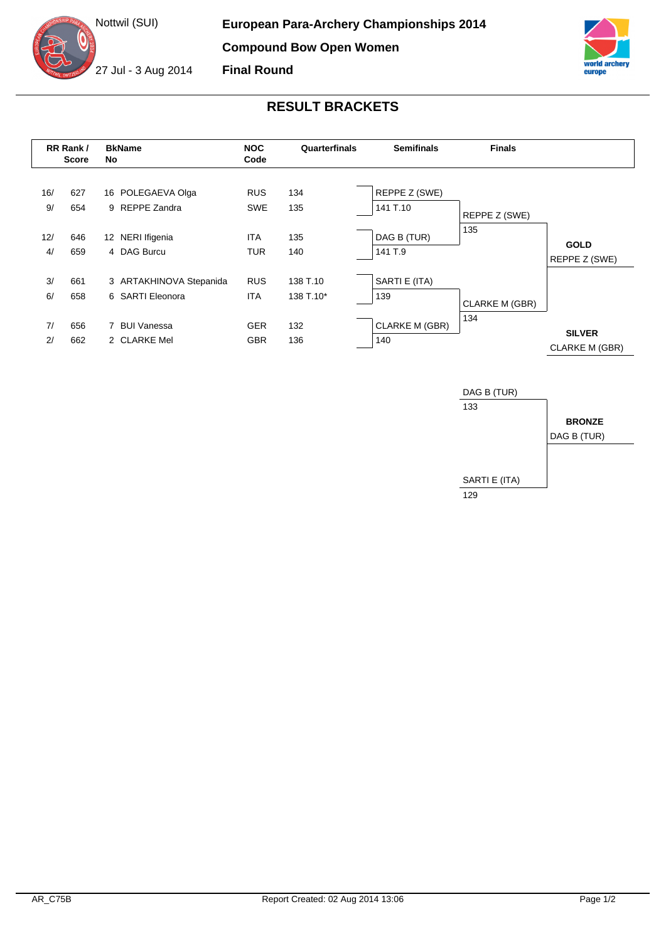



## **RESULT BRACKETS**